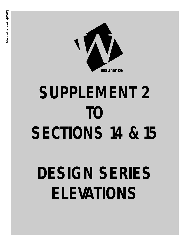

# **SUPPLEMENT 2 TO SECTIONS 14 & 15**

# **DESIGN SERIES ELEVATIONS**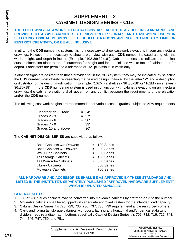## **SUPPLEMENT - 2 CABINET DESIGN SERIES - CDS**

#### **THE FOLLOWING CASEWORK ILLUSTRATIONS ARE ADOPTED AS DESIGN STANDARDS AND PROVIDED TO ASSIST ARCHITECT / DESIGN PROFESSIONALS AND CASEWORK USERS IN SELECTING TYPICAL DESIGNS. THESE ILLUSTRATIONS ARE NOT INTENDED TO LIMIT OR RESTRICT CREATIVITY, OR BE ALL INCLUSIVE.**

In utilizing the **CDS** numbering system, it is not necessary to show casework elevations in your architectural drawings. However, it is necessary to show a plan view with each **CDS** number indicated along with the width, height, and depth in inches (Example: "102-36x30x18"). Cabinet dimensions indicate the nominal outside dimension (floor to top of countertop for height and face of finished wall to face of cabinet door for depth). Fabricators are permitted a tolerance of 1/2" plus/minus in width only.

If other designs are desired than those provided for in the **CDS** system, they may be indicated by selecting the **CDS** number most closely representing the desired design, followed by the letter "M" and a description or illustration of the design modification. (Example: "102M - 2 shelves - 36x30x18" or "102M - no shelves - 36x30x18"). If the **CDS** numbering system is used in conjunction with cabinet elevations on architectural drawings, the cabinet elevations shall govern on any conflict between the requirements of the elevation and/or the **CDS** number.

The following casework heights are recommended for various school grades, subject to ADA requirements:

| Kindergarten - Grade 1 | $= 24"$ |
|------------------------|---------|
| Grades 2 - 3           | $= 27"$ |
| Grades 4 - 6           | $= 30"$ |
| Grades 7 - 9           | $= 33"$ |
| Grades 10 and above    | = 36"   |

The **CABINET DESIGN SERIES** are subdivided as follows:

| Base Cabinets w/o Drawers     | $= 100$ Series |
|-------------------------------|----------------|
| Base Cabinets w/ Drawers      | $= 200$ Series |
| <b>Wall Hung Cabinets</b>     | $= 300$ Series |
| <b>Tall Storage Cabinets</b>  | $= 400$ Series |
| <b>Tall Wardrobe Cabinets</b> | $= 500$ Series |
| <b>Library Cabinets</b>       | $= 600$ Series |
| <b>Moveable Cabinets</b>      | = 700 Series   |

#### **ALL HARDWARE AND ACCESSORIES SHALL BE AS APPROVED BY THESE STANDARDS AND LISTED IN THE INSTITUTE'S SEPARATELY PUBLISHED "APPROVED HARDWARE SUPPLEMENT" WHICH IS UPDATED ANNUALLY.**

#### **GENERAL NOTES:**

- 1. 100 or 200 Series cabinets may be converted into moveable cabinets by prefixing a "7" to the number.
- 2. Moveable cabinets shall be equipped with adequate approved casters for the intended load capacity.
- 3. Cabinet Design Series #'s 728, 729, 735, 736, 737, 738, 739 require metal angle reinforced corners.
- 4. Carts and rolling tall storage cabinets with doors, lacking any horizontal and/or vertical stabilizing dividers, require a diaphragm bottom; specifically Cabinet Design Series #'s 702, 712, 716, 722, 743, 744, 746, 747, 750, and 751.

Supplement -  $2 \triangleleft C$ asework Design Series Page 1 of 30 **<sup>278</sup>**

| Woodwork Institute                          |
|---------------------------------------------|
| Manual of Millwork - 5/1/03                 |
| as updated at                               |
| http://www.woodworkinstitute.com/manual.asp |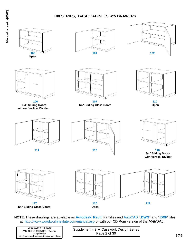## **100 SERIES, BASE CABINETS w/o DRAWERS**



| Woodwork Institute<br>Manual of Millwork - 5/1/03<br>as updated at<br>http://www.woodworkinstitute.com/manual.asp | Supplement - 2 ♦ Casework Design Series<br>Page 2 of 30 | 279 |
|-------------------------------------------------------------------------------------------------------------------|---------------------------------------------------------|-----|
|-------------------------------------------------------------------------------------------------------------------|---------------------------------------------------------|-----|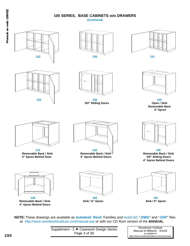## **100 SERIES, BASE CABINETS w/o DRAWERS**



| 280 | Supplement - 2 ♦ Casework Design Series<br>Page 3 of 30 | Woodwork Institute<br>Manual of Millwork - 5/1/03<br>as updated at<br>http://www.woodworkinstitute.com/manual.asp |
|-----|---------------------------------------------------------|-------------------------------------------------------------------------------------------------------------------|
|     |                                                         |                                                                                                                   |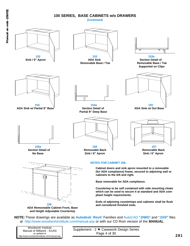## **Manual on web -[06/03]** Manual on web-[06/03]

#### **100 SERIES, BASE CABINETS w/o DRAWERS**

#### **(Continued)**



| Woodwork Institute                          |
|---------------------------------------------|
| Manual of Millwork - 5/1/03                 |
| as updated at                               |
| http://www.woodworkinstitute.com/manual.asp |

Supplement - 2  $\blacklozenge$  Casework Design Series Page 4 of 30 **281**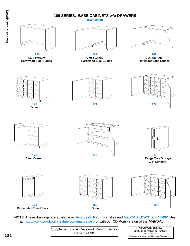## **Manual on web -[06/03]** Manual on web-[06/03]

## **100 SERIES, BASE CABINETS w/o DRAWERS**

#### **(Continued)**





**160 161 162**



**Open**











**Blind Corner Range Tray Storage 1/4" Dividers**



**Retractable Towel Rack Open**





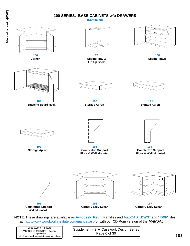## **Manual on web -[06/03]** Manual on web-[06/03]

#### **100 SERIES, BASE CABINETS w/o DRAWERS**

**(Continued)**



as updated at http://www.woodworkinstitute.com/manual.asp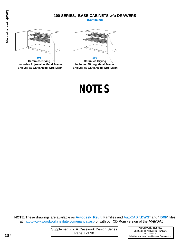#### **100 SERIES, BASE CABINETS w/o DRAWERS (Continued)**



**Includes Adjustable Metal Frame Includes Sliding Metal Frame**



**NOTES**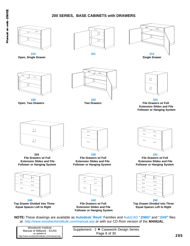## **200 SERIES, BASE CABINETS with DRAWERS**



**NOTE:** These drawings are available as **Autodesk**<sup>7</sup> **Revit**<sup>7</sup> Families and AutoCAD "**.DWG**" and "**.DXF**" files at http://www.woodworkinstitute.com/manual.asp or with our CD Rom version of the *MANUAL*.

Supplement - 2  $\blacklozenge$  Casework Design Series Page 8 of 30 **285**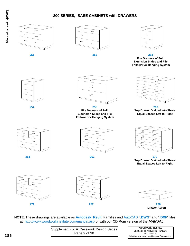### **200 SERIES, BASE CABINETS with DRAWERS**



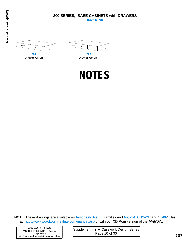#### **200 SERIES, BASE CABINETS with DRAWERS (Continued)**

**Manual on web -[06/03]** Manual on web-[06/03]





**291 292 Drawer Apron Drawer Apron** 

**NOTES**

**NOTE:** These drawings are available as **Autodesk**<sup>7</sup> **Revit**<sup>7</sup> Families and AutoCAD "**.DWG**" and "**.DXF**" files at http://www.woodworkinstitute.com/manual.asp or with our CD Rom version of the *MANUAL*.

Woodwork Institute Manual of Millwork - 5/1/03 as updated at http://www.woodworkinstitute.com/manual.asp

Supplement - 2 + Casework Design Series Page 10 of 30 **287**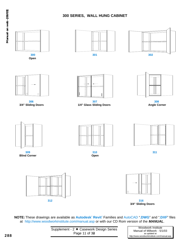

#### **300 SERIES, WALL HUNG CABINET**



| 288 | Supplement - 2 ♦ Casework Design Series<br>Page 11 of 30 | Woodwork Institute<br>Manual of Millwork - 5/1/03<br>as updated at<br>http://www.woodworkinstitute.com/manual.asp |
|-----|----------------------------------------------------------|-------------------------------------------------------------------------------------------------------------------|
|     |                                                          |                                                                                                                   |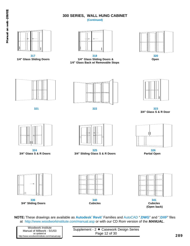## **300 SERIES, WALL HUNG CABINET**

**(Continued)**





**317 318 320 1/4" Glass Sliding Doors 1/4" Glass Sliding Doors & Open 1/4" Glass Back w/ Removable Stops**









**321 322 323 3/4" Glass S & R Door**





**324 325 326 3/4" Glass S & R Doors 3/4" Sliding Glass S & R Doors Partial Open**





**336 340 341 3/4" Sliding Doors Cubicles Cubicles**





**(Open back)**

**NOTE:** These drawings are available as **Autodesk**<sup>7</sup> **Revit**<sup>7</sup> Families and AutoCAD "**.DWG**" and "**.DXF**" files at http://www.woodworkinstitute.com/manual.asp or with our CD Rom version of the *MANUAL*.

| Woodwork Institute                          |
|---------------------------------------------|
| Manual of Millwork - 5/1/03                 |
| as updated at                               |
| http://www.woodworkinstitute.com/manual.asp |

Supplement - 2 + Casework Design Series Page 12 of 30 **289**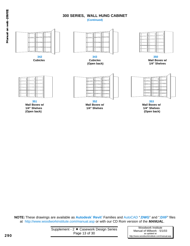## **300 SERIES, WALL HUNG CABINET**

**(Continued)**



**NOTE:** These drawings are available as **Autodesk**<sup>7</sup> **Revit**<sup>7</sup> Families and AutoCAD "**.DWG**" and "**.DXF**" files at http://www.woodworkinstitute.com/manual.asp or with our CD Rom version of the *MANUAL*.

Woodwork Institute Manual of Millwork - 5/1/03 as updated at http://www.woodworkinstitute.com/manual.asp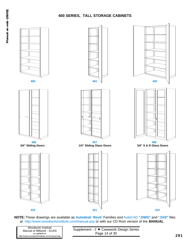

**NOTE:** These drawings are available as **Autodesk**<sup>7</sup> **Revit**<sup>7</sup> Families and AutoCAD "**.DWG**" and "**.DXF**" files at http://www.woodworkinstitute.com/manual.asp or with our CD Rom version of the *MANUAL*.

| Woodwork Institute<br>Manual of Millwork - 5/1/03<br>as updated at<br>http://www.woodworkinstitute.com/manual.asp | Supplement - $2 \triangleleft C$ asework Design Series<br>Page 14 of 30 | 29 <sup>4</sup> |
|-------------------------------------------------------------------------------------------------------------------|-------------------------------------------------------------------------|-----------------|
|                                                                                                                   |                                                                         |                 |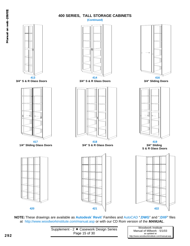**(Continued)**



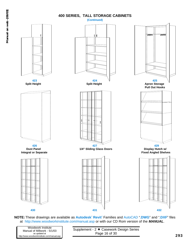

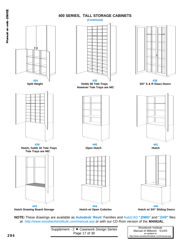**(Continued)**



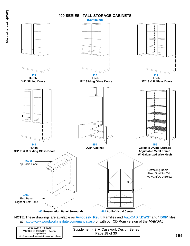

| Woodwork Institute<br>Manual of Millwork - 5/1/03<br>as updated at<br>http://www.woodworkinstitute.com/manual.asp | Supplement - 2 ← Casework Design Series<br>Page 18 of 30 | 295 |
|-------------------------------------------------------------------------------------------------------------------|----------------------------------------------------------|-----|
|-------------------------------------------------------------------------------------------------------------------|----------------------------------------------------------|-----|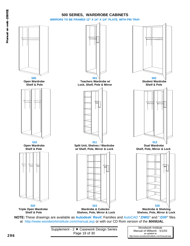



as updated at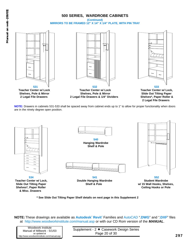

**NOTE:** Drawers in cabinets 531-533 shall be spaced away from cabinet ends up to 1" to allow for proper functionality when doors are in the ninety degree open position.



**\* See Slide Out Tilting Paper Shelf details on next page in this Supplement 2**

| Supplement - 2 ♦ Casework Design Series |
|-----------------------------------------|
|-----------------------------------------|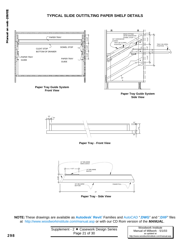## **TYPICAL SLIDE OUT/TILTING PAPER SHELF DETAILS**



**NOTE:** These drawings are available as **Autodesk**<sup>7</sup> **Revit**<sup>7</sup> Families and AutoCAD "**.DWG**" and "**.DXF**" files at http://www.woodworkinstitute.com/manual.asp or with our CD Rom version of the *MANUAL*.

| Supplement - 2 → Casework Design Series |
|-----------------------------------------|
| Page 21 of 30                           |

Woodwork Institute Manual of Millwork - 5/1/03 as updated at http://www.woodworkinstitute.com/manual.asp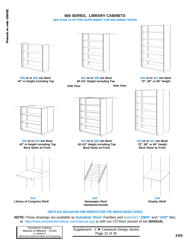#### **600 SERIES, LIBRARY CABINETS SEE PAGE 21 OF THIS SUPPLEMENT FOR 600 SERIES NOTES**





**600 w/ or 605 w/o Back 601 w/ or 606 w/o Back 602 w/ or 607 w/o Back 42" in Height including Top 60-1/2" Height including Top 72", 80" or 84" Height**

**Side View Side View**







**Library of Congress Shelf Newspaper Rack Display Shelf**



**620 w/ or 625 w/o Back 621 w/ or 626 w/o Back 622 w/ or 627 w/o Back 42" in Height including Top 60-1/2" Height including Top 72", 80" or 84" Height Back Same as Front Back Same as Front Back Same as Front**





**614 624 634 Hardwood Dowels**

#### **UNITS 614, 624 and 634 ARE INSERTS FOR THE ABOVE BOOK CASES**

**NOTE:** These drawings are available as **Autodesk**<sup>7</sup> **Revit**<sup>7</sup> Families and AutoCAD "**.DWG**" and "**.DXF**" files at http://www.woodworkinstitute.com/manual.asp or with our CD Rom version of the *MANUAL*.

| Woodwork Institute                          |  |
|---------------------------------------------|--|
| Manual of Millwork - 5/1/03                 |  |
| as updated at                               |  |
| http://www.woodworkinstitute.com/manual.asp |  |

Supplement - 2  $\triangle$  Casework Design Series Page 22 of 30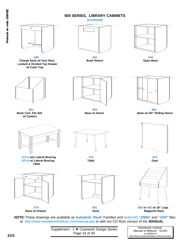#### **600 SERIES, LIBRARY CABINETS**

**(Continued)**





as updated at

**300**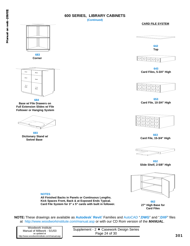#### **600 SERIES, LIBRARY CABINETS**

#### **(Continued)**





**683 Corner**



**684**

**Base w/ File Drawers on Full Extension Slides w/ File Follower or Hanging System**



**693 Dictionary Stand w/ Swivel Base**

#### **CARD FILE SYSTEM**



**642 Top**



**643 Card Files, 5-3/4" High**



**653 Card File, 10-3/4" High**



**663 Card File, 15-3/4" High**



**652 Slide Shelf, 2-5/8" High**



**662 27" High Base for Card Files**

**NOTE:** These drawings are available as **Autodesk**<sup>7</sup> **Revit**<sup>7</sup> Families and AutoCAD "**.DWG**" and "**.DXF**" files at http://www.woodworkinstitute.com/manual.asp or with our CD Rom version of the *MANUAL*.

**All Finished Backs in Panels or Continuous Lengths. Kick Spaces Front, Back & at Exposed Ends Typical. Card File System for 3" x 5" cards with built in follower.**

| Woodwork Institute                          |
|---------------------------------------------|
| Manual of Millwork - 5/1/03                 |
| as updated at                               |
| http://www.woodworkinstitute.com/manual.asp |

**NOTES**

Supplement - 2  $\blacklozenge$  Casework Design Series Page 24 of 30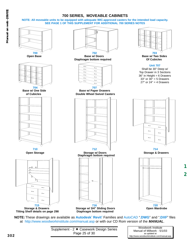**NOTE: All moveable units to be equipped with adequate WIC-approved casters for the intended load capacity. SEE PAGE 1 OF THIS SUPPLEMENT FOR ADDITIONAL 700 SERIES NOTES**



**NOTE:** These drawings are available as **Autodesk**<sup>7</sup> **Revit**<sup>7</sup> Families and AutoCAD "**.DWG**" and "**.DXF**" files at http://www.woodworkinstitute.com/manual.asp or with our CD Rom version of the *MANUAL*.



**2**

**1**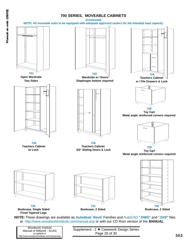

| Woodwork Institute                          | Supplement - 2 ← Casework Design Series |  |  |
|---------------------------------------------|-----------------------------------------|--|--|
| Manual of Millwork - 5/1/03                 |                                         |  |  |
| as updated at                               | Page 26 of 30                           |  |  |
| http://www.woodworkinstitute.com/manual.asp |                                         |  |  |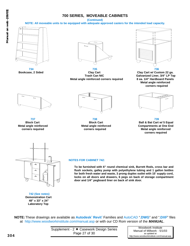**(Continued)**

**NOTE: All moveable units to be equipped with adequate approved casters for the intended load capacity.**





**734 735 736 Bookcase, 2 Sided Clay Cart Clay Cart w/ Custom 22 ga. Metal angle reinforced corners required 8 ea. 1/4" Hardboard Panels**



Galvanized Liner, 3/4" LP Top **Metal angle reinforced corners required**





**737 738 739**



**Block Cart Block Cart Block Cart Block Cart Ball & Bat Cart w/ 5 Equal Metal angle reinforced Metal angle reinforced Compartments at One End corners required corners required Metal angle reinforced corners required**



#### **NOTES FOR CABINET 742:**

**To be furnished with 6" round chemical sink, Burrett Rods, cross bar and flush sockets, galley pump with polyethylene tubing and 1 gallon bottles for both fresh water and waste, 3 prong duplex outlet with 15' supply cord, locks on all doors and drawers, 6 pegs on back of storage compartment door and 1/4" pegboard liner on back of sink door.**

**742 (See notes) Demonstration Cart 48" x 33" x 24" Laboratory Top**

**NOTE:** These drawings are available as **Autodesk**<sup>7</sup> **Revit**<sup>7</sup> Families and AutoCAD "**.DWG**" and "**.DXF**" files at http://www.woodworkinstitute.com/manual.asp or with our CD Rom version of the *MANUAL*.



Woodwork Institute Manual of Millwork - 5/1/03 as updated at http://www.woodworkinstitute.com/manual.asp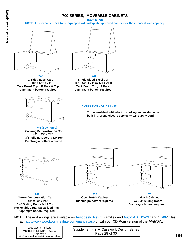**(Continued)**

**NOTE: All moveable units to be equipped with adequate approved casters for the intended load capacity.**



**Tack Board Top, LP Face & Top Tack Board Top, LP Face Diaphragm bottom required Diaphragm bottom required**



**746 (See notes) Cooking Demonstration Cart 48" x 33" x 24" 3/4" Sliding Doors & LP Top Diaphragm bottom required**



**743 744 2 Sided Easel Cart Single Sided Easel Cart 48" x 54" x 24" 48" x 66" x 24" w/ Side Door**

#### **NOTES FOR CABINET 746:**

**To be furnished with electric cooking and mixing units, built in 3 prong electric service w/ 15' supply cord.**



**Nature Demonstration Cart Open Hutch Cabinet Hutch Cabinet 3/4" Sliding Doors & LP Top Diaphragm bottom required Removable 22ga. Galvanized Pan Diaphragm bottom required**



**747 750 751 48" x 33" x 24" Diaphragm bottom required W/ 3/4" Sliding Doors**



**NOTE:** These drawings are available as **Autodesk**<sup>7</sup> **Revit**<sup>7</sup> Families and AutoCAD "**.DWG**" and "**.DXF**" files at http://www.woodworkinstitute.com/manual.asp or with our CD Rom version of the *MANUAL*.

| Woodwork Institute                          |
|---------------------------------------------|
| Manual of Millwork - 5/1/03                 |
| as updated at                               |
| http://www.woodworkinstitute.com/manual.asp |

Supplement - 2 + Casework Design Series Page 28 of 30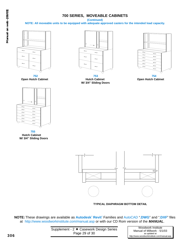**(Continued)**

**NOTE: All moveable units to be equipped with adequate approved casters for the intended load capacity.**





**752 753 754 Open Hutch Cabinet Hutch Cabinet Open Hutch Cabinet W/ 3/4" Sliding Doors**





**755 Hutch Cabinet W/ 3/4" Sliding Doors**



**TYPICAL DIAPHRAGM BOTTOM DETAIL**

| Supplement - 2 ♦ Casework Design Series |  |
|-----------------------------------------|--|
| Page 29 of 30                           |  |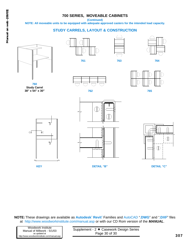**(Continued)**

**NOTE: All moveable units to be equipped with adequate approved casters for the intended load capacity.**

### **STUDY CARRELS, LAYOUT & CONSTRUCTION**



**760 Study Carrel 38" x 54" x 30"**







**761 763 764**



**762 765**







**KEY DETAIL "B" DETAIL "C"**



**NOTE:** These drawings are available as **Autodesk**<sup>7</sup> **Revit**<sup>7</sup> Families and AutoCAD "**.DWG**" and "**.DXF**" files at http://www.woodworkinstitute.com/manual.asp or with our CD Rom version of the *MANUAL*.

| Woodwork Institute                          |
|---------------------------------------------|
| Manual of Millwork - 5/1/03                 |
| as updated at                               |
| http://www.woodworkinstitute.com/manual.asp |

Supplement - 2  $\leftarrow$  Casework Design Series Page 30 of 30